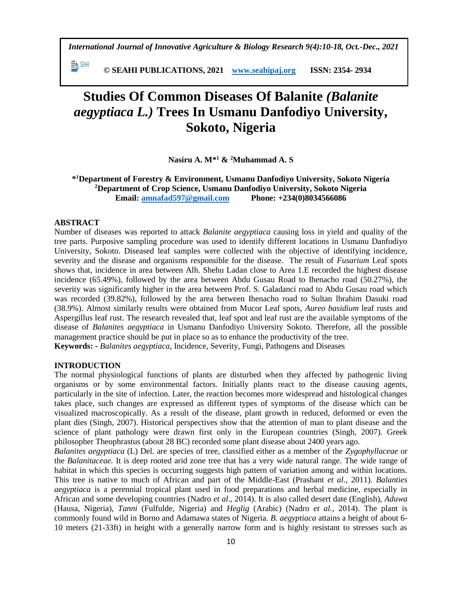*International Journal of Innovative Agriculture & Biology Research 9(4):10-18, Oct.-Dec., 2021*

EN SEAH  **© SEAHI PUBLICATIONS, 2021 [www.seahipaj.org](http://www.seahipaj.org/) ISSN: 2354- 2934**

# **Studies Of Common Diseases Of Balanite** *(Balanite aegyptiaca L.)* **Trees In Usmanu Danfodiyo University, Sokoto, Nigeria**

**Nasiru A. M\* <sup>1</sup> & <sup>2</sup>Muhammad A. S**

**\* <sup>1</sup>Department of Forestry & Environment, Usmanu Danfodiyo University, Sokoto Nigeria <sup>2</sup>Department of Crop Science, Usmanu Danfodiyo University, Sokoto Nigeria Email: [amnafad597@gmail.com](mailto:amnafad597@gmail.com) Phone: +234(0)8034566086**

### **ABSTRACT**

Number of diseases was reported to attack *Balanite aegyptiaca* causing loss in yield and quality of the tree parts. Purposive sampling procedure was used to identify different locations in Usmanu Danfodiyo University, Sokoto. Diseased leaf samples were collected with the objective of identifying incidence, severity and the disease and organisms responsible for the disease. The result of *Fusarium* Leaf spots shows that, incidence in area between Alh. Shehu Ladan close to Area 1.E recorded the highest disease incidence (65.49%), followed by the area between Abdu Gusau Road to Ihenacho road (50.27%), the severity was significantly higher in the area between Prof. S. Galadanci road to Abdu Gusau road which was recorded (39.82%), followed by the area between Ihenacho road to Sultan lbrahim Dasuki road (38.9%). Almost similarly results were obtained from Mucor Leaf spots, *Aureo basidium* leaf rusts and Aspergillus leaf rust. The research revealed that, leaf spot and leaf rust are the available symptoms of the disease of *Balanites aegyptiaca* in Usmanu Danfodiyo University Sokoto. Therefore, all the possible management practice should be put in place so as to enhance the productivity of the tree. **Keywords: -** *Balanites aegyptiaca*, Incidence, Severity, Fungi, Pathogens and Diseases

#### **INTRODUCTION**

The normal physiological functions of plants are disturbed when they affected by pathogenic living organisms or by some environmental factors. Initially plants react to the disease causing agents, particularly in the site of infection. Later, the reaction becomes more widespread and histological changes takes place, such changes are expressed as different types of symptoms of the disease which can be visualized macroscopically. As a result of the disease, plant growth in reduced, deformed or even the plant dies (Singh, 2007). Historical perspectives show that the attention of man to plant disease and the science of plant pathology were drawn first only in the European countries (Singh, 2007). Greek philosopher Theophrastus (about 28 BC) recorded some plant disease about 2400 years ago.

*Balanites aegyptiaca* (L) Del. are species of tree, classified either as a member of the *Zygophyllaceae* or the *Balanitaceae.* It is deep rooted arid zone tree that has a very wide natural range. The wide range of habitat in which this species is occurring suggests high pattern of variation among and within locations. This tree is native to much of African and part of the Middle-East (Prashant *et al.,* 2011). *Balanties aegyptiaca* is a perennial tropical plant used in food preparations and herbal medicine, especially in African and some developing countries (Nadro *et al.,* 2014). It is also called desert date (English), *Aduwa* (Hausa, Nigeria), *Tanni* (Fulfulde, Nigeria) and *Heglig* (Arabic) (Nadro *et al.,* 2014). The plant is commonly found wild in Borno and Adamawa states of Nigeria. *B. aegyptiaca* attains a height of about 6- 10 meters (21-33ft) in height with a generally narrow form and is highly resistant to stresses such as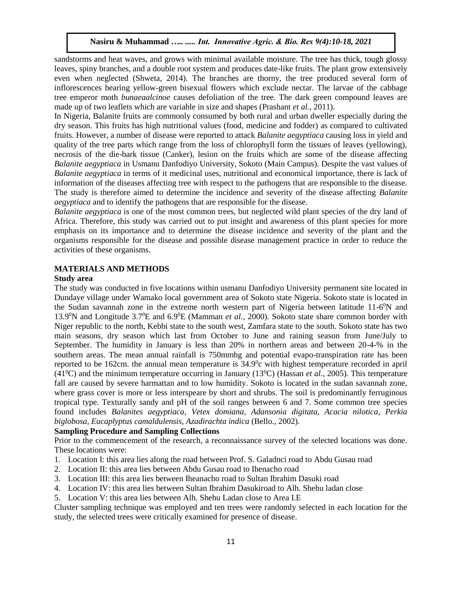sandstorms and heat waves, and grows with minimal available moisture. The tree has thick, tough glossy leaves, spiny branches, and a double root system and produces date-like fruits. The plant grow extensively even when neglected (Shweta, 2014). The branches are thorny, the tree produced several form of inflorescences bearing yellow-green bisexual flowers which exclude nectar. The larvae of the cabbage tree emperor moth *bunaeaalcinoe* causes defoliation of the tree. The dark green compound leaves are made up of two leaflets which are variable in size and shapes (Prashant *et al.,* 2011).

In Nigeria, Balanite fruits are commonly consumed by both rural and urban dweller especially during the dry season. This fruits has high nutritional values (food, medicine and fodder) as compared to cultivated fruits. However, a number of disease were reported to attack *Balanite aegyptiaca* causing loss in yield and quality of the tree parts which range from the loss of chlorophyll form the tissues of leaves (yellowing), necrosis of the die-bark tissue (Canker), lesion on the fruits which are some of the disease affecting *Balanite aegyptiaca* in Usmanu Danfodiyo University, Sokoto (Main Campus). Despite the vast values of *Balanite aegyptiaca* in terms of it medicinal uses, nutritional and economical importance, there is lack of information of the diseases affecting tree with respect to the pathogens that are responsible to the disease. The study is therefore aimed to determine the incidence and severity of the disease affecting *Balanite aegyptiaca* and to identify the pathogens that are responsible for the disease.

*Balanite aegyptiaca* is one of the most common trees, but neglected wild plant species of the dry land of Africa. Therefore, this study was carried out to put insight and awareness of this plant species for more emphasis on its importance and to determine the disease incidence and severity of the plant and the organisms responsible for the disease and possible disease management practice in order to reduce the activities of these organisms.

## **MATERIALS AND METHODS**

### **Study area**

The study was conducted in five locations within usmanu Danfodiyo University permanent site located in Dundaye village under Wamako local government area of Sokoto state Nigeria. Sokoto state is located in the Sudan savannah zone in the extreme north western part of Nigeria between latitude 11-6<sup>0</sup>N and 13.9<sup>0</sup>N and Longitude 3.7<sup>0</sup>E and 6.9<sup>0</sup>E (Mamman *et al.,* 2000). Sokoto state share common border with Niger republic to the north, Kebbi state to the south west, Zamfara state to the south. Sokoto state has two main seasons, dry season which last from October to June and raining season from June/July to September. The humidity in January is less than 20% in northern areas and between 20-4-% in the southern areas. The mean annual rainfall is 750mmhg and potential evapo-transpiration rate has been reported to be 162cm. the annual mean temperature is  $34.9^{\circ}$ c with highest temperature recorded in april  $(41^{\circ}$ C) and the minimum temperature occurring in January (13<sup>o</sup>C) (Hassan *et al.*, 2005). This temperature fall are caused by severe harmattan and to low humidity. Sokoto is located in the sudan savannah zone, where grass cover is more or less interspeare by short and shrubs. The soil is predominantly ferruginous tropical type. Texturally sandy and pH of the soil ranges between 6 and 7. Some common tree species found includes *Balanites aegyptiaca, Vetex domiana, Adansonia digitata, Acacia nilotica, Perkia biglobosa, Eucaplyptus camaldulensis, Azadirachta indica* (Bello., 2002).

## **Sampling Procedure and Sampling Collections**

Prior to the commencement of the research, a reconnaissance survey of the selected locations was done. These locations were:

- 1. Location I: this area lies along the road between Prof. S. Galadnci road to Abdu Gusau road
- 2. Location II: this area lies between Abdu Gusau road to Ihenacho road
- 3. Location III: this area lies between Iheanacho road to Sultan Ibrahim Dasuki road
- 4. Location IV: this area lies between Sultan Ibrahim Dasukiroad to Alh. Shehu ladan close
- 5. Location V: this area lies between Alh. Shehu Ladan close to Area I.E

Cluster sampling technique was employed and ten trees were randomly selected in each location for the study, the selected trees were critically examined for presence of disease.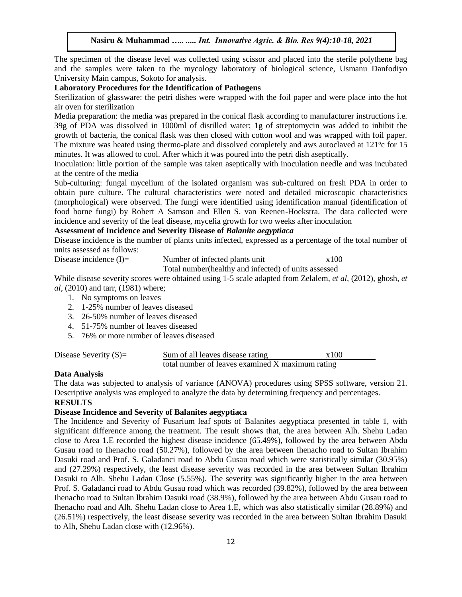The specimen of the disease level was collected using scissor and placed into the sterile polythene bag and the samples were taken to the mycology laboratory of biological science, Usmanu Danfodiyo University Main campus, Sokoto for analysis.

### **Laboratory Procedures for the Identification of Pathogens**

Sterilization of glassware: the petri dishes were wrapped with the foil paper and were place into the hot air oven for sterilization

Media preparation: the media was prepared in the conical flask according to manufacturer instructions i.e. 39g of PDA was dissolved in 1000ml of distilled water; 1g of streptomycin was added to inhibit the growth of bacteria, the conical flask was then closed with cotton wool and was wrapped with foil paper. The mixture was heated using thermo-plate and dissolved completely and aws autoclaved at 121°c for 15 minutes. It was allowed to cool. After which it was poured into the petri dish aseptically.

Inoculation: little portion of the sample was taken aseptically with inoculation needle and was incubated at the centre of the media

Sub-culturing: fungal mycelium of the isolated organism was sub-cultured on fresh PDA in order to obtain pure culture. The cultural characteristics were noted and detailed microscopic characteristics (morphological) were observed. The fungi were identified using identification manual (identification of food borne fungi) by Robert A Samson and Ellen S. van Reenen-Hoekstra. The data collected were incidence and severity of the leaf disease, mycelia growth for two weeks after inoculation

## **Assessment of Incidence and Severity Disease of** *Balanite aegyptiaca*

Disease incidence is the number of plants units infected, expressed as a percentage of the total number of units assessed as follows:

Disease incidence (I)= Number of infected plants unit  $x100$ 

Total number(healthy and infected) of units assessed

While disease severity scores were obtained using 1-5 scale adapted from Zelalem, *et al,* (2012), ghosh, *et al,* (2010) and tarr, (1981) where;

- 1. No symptoms on leaves
- 2. 1-25% number of leaves diseased
- 3. 26-50% number of leaves diseased
- 4. 51-75% number of leaves diseased
- 5. 76% or more number of leaves diseased

| Disease Severity $(S)=$ | Sum of all leaves disease rating                 | x100 |
|-------------------------|--------------------------------------------------|------|
|                         | total number of leaves examined X maximum rating |      |

#### **Data Analysis**

The data was subjected to analysis of variance (ANOVA) procedures using SPSS software, version 21. Descriptive analysis was employed to analyze the data by determining frequency and percentages.

#### **RESULTS**

# **Disease Incidence and Severity of Balanites aegyptiaca**

The Incidence and Severity of Fusarium leaf spots of Balanites aegyptiaca presented in table 1, with significant difference among the treatment. The result shows that, the area between Alh. Shehu Ladan close to Area 1.E recorded the highest disease incidence (65.49%), followed by the area between Abdu Gusau road to Ihenacho road (50.27%), followed by the area between Ihenacho road to Sultan Ibrahim Dasuki road and Prof. S. Galadanci road to Abdu Gusau road which were statistically similar (30.95%) and (27.29%) respectively, the least disease severity was recorded in the area between Sultan Ibrahim Dasuki to Alh. Shehu Ladan Close (5.55%). The severity was significantly higher in the area between Prof. S. Galadanci road to Abdu Gusau road which was recorded (39.82%), followed by the area between Ihenacho road to Sultan lbrahim Dasuki road (38.9%), followed by the area between Abdu Gusau road to Ihenacho road and Alh. Shehu Ladan close to Area 1.E, which was also statistically similar (28.89%) and (26.51%) respectively, the least disease severity was recorded in the area between Sultan Ibrahim Dasuki to Alh, Shehu Ladan close with (12.96%).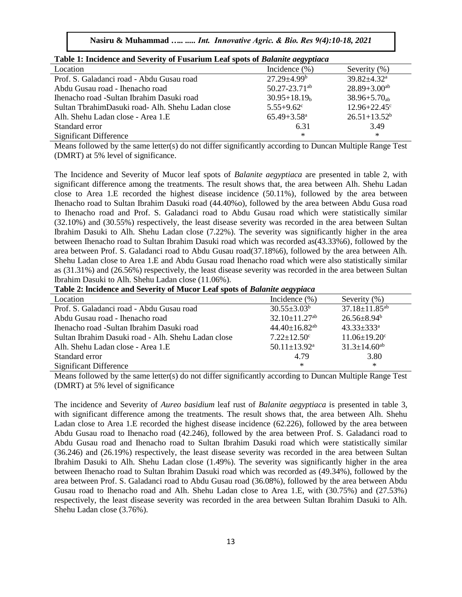| <b>Table 1. Hickenice and Severity of Fusarium Lear spots of <i>Dutanue degyptiaca</i></b> |                               |                               |  |  |
|--------------------------------------------------------------------------------------------|-------------------------------|-------------------------------|--|--|
| Location                                                                                   | Incidence $(\% )$             | Severity (%)                  |  |  |
| Prof. S. Galadanci road - Abdu Gusau road                                                  | $27.29 + 4.99^b$              | $39.82 \pm 4.32^{\mathrm{a}}$ |  |  |
| Abdu Gusau road - Ihenacho road                                                            | $50.27 - 23.71$ <sup>ab</sup> | $28.89 + 3.00^{ab}$           |  |  |
| Ihenacho road -Sultan Ibrahim Dasuki road                                                  | $30.95 + 18.19h$              | $38.96 + 5.70_{ab}$           |  |  |
| Sultan TbrahimDasuki road- Alh. Shehu Ladan close                                          | $5.55 + 9.62^c$               | $12.96 + 22.45$ °             |  |  |
| Alh. Shehu Ladan close - Area 1.E                                                          | $65.49 + 3.58$ <sup>a</sup>   | $26.51 + 13.52^b$             |  |  |
| Standard error                                                                             | 6.31                          | 3.49                          |  |  |
| <b>Significant Difference</b>                                                              | $\ast$                        | $\ast$                        |  |  |

**Table 1: Incidence and Severity of Fusarium Leaf spots of** *Balanite aegyptiaca*

Means followed by the same letter(s) do not differ significantly according to Duncan Multiple Range Test (DMRT) at 5% level of significance.

The Incidence and Severity of Mucor leaf spots of *Balanite aegyptiaca* are presented in table 2, with significant difference among the treatments. The result shows that, the area between Alh. Shehu Ladan close to Area 1.E recorded the highest disease incidence (50.11%), followed by the area between Ihenacho road to Sultan Ibrahim Dasuki road (44.40%o), followed by the area between Abdu Gusa road to Ihenacho road and Prof. S. Galadanci road to Abdu Gusau road which were statistically similar (32.10%) and (30.55%) respectively, the least disease severity was recorded in the area between Sultan Ibrahim Dasuki to Alh. Shehu Ladan close (7.22%). The severity was significantly higher in the area between Ihenacho road to Sultan Ibrahim Dasuki road which was recorded as(43.33%6), followed by the area between Prof. S. Galadanci road to Abdu Gusau road(37.18%6), followed by the area between Alh. Shehu Ladan close to Area 1.E and Abdu Gusau road Ihenacho road which were also statistically similar as (31.31%) and (26.56%) respectively, the least disease severity was recorded in the area between Sultan Ibrahim Dasuki to Alh. Shehu Ladan close (11.06%).

**Table 2: lncidence and Severity of Mucor Leaf spots of** *Balanite aegypiaca*

| Location                                            | Incidence $(\% )$               | Severity (%)                    |
|-----------------------------------------------------|---------------------------------|---------------------------------|
| Prof. S. Galadanci road - Abdu Gusau road           | $30.55 \pm 3.03^b$              | $37.18 \pm 11.85$ <sup>ab</sup> |
| Abdu Gusau road - Ihenacho road                     | $32.10 \pm 11.27$ <sup>ab</sup> | $26.56 \pm 8.94^b$              |
| Ihenacho road -Sultan Ibrahim Dasuki road           | $44.40 \pm 16.82^{ab}$          | $43.33 \pm 333$ <sup>a</sup>    |
| Sultan Ibrahim Dasuki road - Alh. Shehu Ladan close | $7.22 \pm 12.50$ <sup>c</sup>   | $11.06 \pm 19.20$ <sup>c</sup>  |
| Alh. Shehu Ladan close - Area 1.E                   | $50.11 \pm 13.92$ <sup>a</sup>  | $31.3 \pm 14.60^{ab}$           |
| Standard error                                      | 4.79                            | 3.80                            |
| <b>Significant Difference</b>                       | $\ast$                          | $\ast$                          |

Means followed by the same letter(s) do not differ significantly according to Duncan Multiple Range Test (DMRT) at 5% level of significance

The incidence and Severity of *Aureo basidium* leaf rust of *Balanite aegyptiaca* is presented in table 3, with significant difference among the treatments. The result shows that, the area between Alh. Shehu Ladan close to Area 1.E recorded the highest disease incidence (62.226), followed by the area between Abdu Gusau road to Ihenacho road (42.246), followed by the area between Prof. S. Galadanci road to Abdu Gusau road and Ihenacho road to Sultan Ibrahim Dasuki road which were statistically similar (36.246) and (26.19%) respectively, the least disease severity was recorded in the area between Sultan Ibrahim Dasuki to Alh. Shehu Ladan close (1.49%). The severity was significantly higher in the area between Ihenacho road to Sultan Ibrahim Dasuki road which was recorded as (49.34%), followed by the area between Prof. S. Galadanci road to Abdu Gusau road (36.08%), followed by the area between Abdu Gusau road to Ihenacho road and Alh. Shehu Ladan close to Area 1.E, with (30.75%) and (27.53%) respectively, the least disease severity was recorded in the area between Sultan Ibrahim Dasuki to Alh. Shehu Ladan close (3.76%).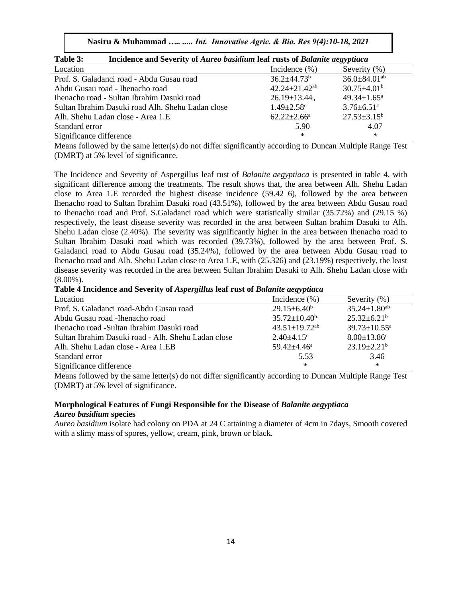**Nasiru & Muhammad** *….. ..... Int. Innovative Agric. & Bio. Res 9(4):10-18, 2021*

| Table 3:<br>Incidence and Severity of Aureo basidium leaf rusts of Balanite aegyptiaca |                                 |                                |  |  |
|----------------------------------------------------------------------------------------|---------------------------------|--------------------------------|--|--|
| Location                                                                               | Incidence $(\% )$               | Severity (%)                   |  |  |
| Prof. S. Galadanci road - Abdu Gusau road                                              | $36.2 + 44.73^b$                | $36.0 \pm 84.01$ <sup>ab</sup> |  |  |
| Abdu Gusau road - Ihenacho road                                                        | $42.24 \pm 21.42$ <sup>ab</sup> | $30.75 \pm 4.01^{\rm b}$       |  |  |
| Ihenacho road - Sultan Ibrahim Dasuki road                                             | $26.19 \pm 13.44$ <sub>b</sub>  | $49.34 \pm 1.65^a$             |  |  |
| Sultan Ibrahim Dasuki road Alh. Shehu Ladan close                                      | $1.49 \pm 2.58$ <sup>c</sup>    | $3.76 \pm 6.51$ °              |  |  |
| Alh. Shehu Ladan close - Area 1.E                                                      | $62.22 \pm 2.66^{\circ}$        | $27.53 \pm 3.15^b$             |  |  |
| Standard error                                                                         | 5.90                            | 4.07                           |  |  |
| Significance difference                                                                | ∗                               | $\ast$                         |  |  |

Means followed by the same letter(s) do not differ significantly according to Duncan Multiple Range Test (DMRT) at 5% level 'of significance.

The Incidence and Severity of Aspergillus leaf rust of *Balanite aegyptiaca* is presented in table 4, with significant difference among the treatments. The result shows that, the area between Alh. Shehu Ladan close to Area 1.E recorded the highest disease incidence (59.42 6), followed by the area between Ihenacho road to Sultan Ibrahim Dasuki road (43.51%), followed by the area between Abdu Gusau road to Ihenacho road and Prof. S.Galadanci road which were statistically similar (35.72%) and (29.15 %) respectively, the least disease severity was recorded in the area between Sultan brahim Dasuki to Alh. Shehu Ladan close (2.40%). The severity was significantly higher in the area between Ihenacho road to Sultan Ibrahim Dasuki road which was recorded (39.73%), followed by the area between Prof. S. Galadanci road to Abdu Gusau road (35.24%), followed by the area between Abdu Gusau road to Ihenacho road and Alh. Shehu Ladan close to Area 1.E, with (25.326) and (23.19%) respectively, the least disease severity was recorded in the area between Sultan Ibrahim Dasuki to Alh. Shehu Ladan close with  $(8.00\%)$ .

**Table 4 Incidence and Severity of** *Aspergillus* **leaf rust of** *Balanite aegyptiaca*

|                                                     | $\cdots$                        |                               |
|-----------------------------------------------------|---------------------------------|-------------------------------|
| Location                                            | Incidence $(\% )$               | Severity $(\%)$               |
| Prof. S. Galadanci road-Abdu Gusau road             | $29.15 \pm 6.40^b$              | $35.24 \pm 1.80^{ab}$         |
| Abdu Gusau road - Ihenacho road                     | $35.72 \pm 10.40^b$             | $25.32 \pm 6.21^b$            |
| Ihenacho road -Sultan Ibrahim Dasuki road           | $43.51 \pm 19.72$ <sup>ab</sup> | $39.73 \pm 10.55^{\text{a}}$  |
| Sultan Ibrahim Dasuki road - Alh. Shehu Ladan close | $2.40\pm4.15^{\circ}$           | $8.00 \pm 13.86$ <sup>c</sup> |
| Alh. Shehu Ladan close - Area 1.EB                  | $59.42 \pm 4.46^a$              | $23.19 \pm 2.21^b$            |
| Standard error                                      | 5.53                            | 3.46                          |
| Significance difference                             | ∗                               | $\ast$                        |

Means followed by the same letter(s) do not differ significantly according to Duncan Multiple Range Test (DMRT) at 5% level of significance.

## **Morphological Features of Fungi Responsible for the Disease** o**f** *Balanite aegyptiaca Aureo basidium* **species**

*Aureo basidium* isolate had colony on PDA at 24 C attaining a diameter of 4cm in 7days, Smooth covered with a slimy mass of spores, yellow, cream, pink, brown or black.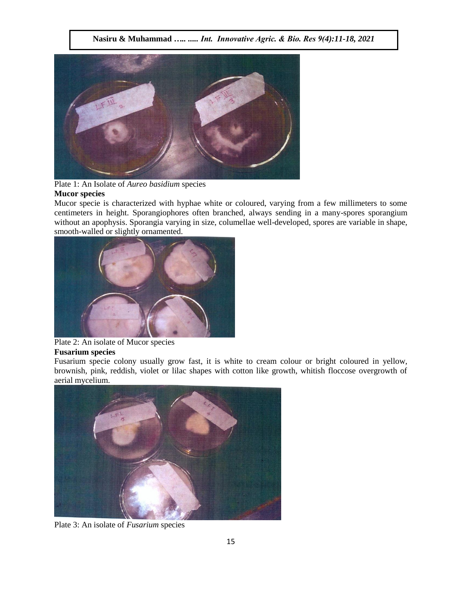

Plate 1: An Isolate of *Aureo basidium* species

## **Mucor species**

Mucor specie is characterized with hyphae white or coloured, varying from a few millimeters to some centimeters in height. Sporangiophores often branched, always sending in a many-spores sporangium without an apophysis. Sporangia varying in size, columellae well-developed, spores are variable in shape, smooth-walled or slightly ornamented.



## Plate 2: An isolate of Mucor species **Fusarium species**

Fusarium specie colony usually grow fast, it is white to cream colour or bright coloured in yellow, brownish, pink, reddish, violet or lilac shapes with cotton like growth, whitish floccose overgrowth of aerial mycelium.



Plate 3: An isolate of *Fusarium* species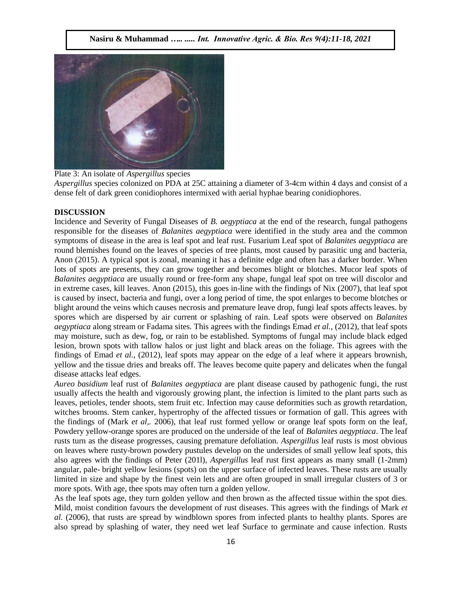

Plate 3: An isolate of *Aspergillus* species

*Aspergillus* species colonized on PDA at 25C attaining a diameter of 3-4cm within 4 days and consist of a dense felt of dark green conidiophores intermixed with aerial hyphae bearing conidiophores.

## **DISCUSSION**

Incidence and Severity of Fungal Diseases of *B. aegyptiaca* at the end of the research, fungal pathogens responsible for the diseases of *Balanites aegyptiaca* were identified in the study area and the common symptoms of disease in the area is leaf spot and leaf rust. Fusarium Leaf spot of *Balanites aegyptiaca* are round blemishes found on the leaves of species of tree plants, most caused by parasitic ung and bacteria, Anon (2015). A typical spot is zonal, meaning it has a definite edge and often has a darker border. When lots of spots are presents, they can grow together and becomes blight or blotches. Mucor leaf spots of *Balanites aegyptiaca* are usually round or free-form any shape, fungal leaf spot on tree will discolor and in extreme cases, kill leaves. Anon (2015), this goes in-line with the findings of Nix (2007), that leaf spot is caused by insect, bacteria and fungi, over a long period of time, the spot enlarges to become blotches or blight around the veins which causes necrosis and premature leave drop, fungi leaf spots affects leaves. by spores which are dispersed by air current or splashing of rain. Leaf spots were observed on *Balanites aegyptiaca* along stream or Fadama sites. This agrees with the findings Emad *et al.,* (2012), that leaf spots may moisture, such as dew, fog, or rain to be established. Symptoms of fungal may include black edged lesion, brown spots with tallow halos or just light and black areas on the foliage. This agrees with the findings of Emad *et al.,* (2012), leaf spots may appear on the edge of a leaf where it appears brownish, yellow and the tissue dries and breaks off. The leaves become quite papery and delicates when the fungal disease attacks leaf edges.

*Aureo basidium* leaf rust of *Balanites aegyptiaca* are plant disease caused by pathogenic fungi, the rust usually affects the health and vigorously growing plant, the infection is limited to the plant parts such as leaves, petioles, tender shoots, stem fruit etc. Infection may cause deformities such as growth retardation, witches brooms. Stem canker, hypertrophy of the affected tissues or formation of gall. This agrees with the findings of (Mark *et al,.* 2006), that leaf rust formed yellow or orange leaf spots form on the leaf, Powdery yellow-orange spores are produced on the underside of the leaf of *Balanites aegyptiaca*. The leaf rusts turn as the disease progresses, causing premature defoliation. *Aspergillus* leaf rusts is most obvious on leaves where rusty-brown powdery pustules develop on the undersides of small yellow leaf spots, this also agrees with the findings of Peter (201l), *Aspergillus* leaf rust first appears as many small (1-2mm) angular, pale- bright yellow lesions (spots) on the upper surface of infected leaves. These rusts are usually limited in size and shape by the finest vein lets and are often grouped in small irregular clusters of 3 or more spots. With age, thee spots may often turn a golden yellow.

As the leaf spots age, they turn golden yellow and then brown as the affected tissue within the spot dies. Mild, moist condition favours the development of rust diseases. This agrees with the findings of Mark *et al.* (2006), that rusts are spread by windblown spores from infected plants to healthy plants. Spores are also spread by splashing of water, they need wet leaf Surface to germinate and cause infection. Rusts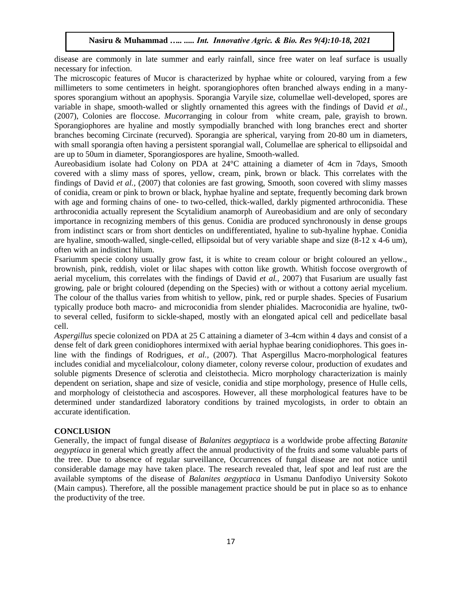disease are commonly in late summer and early rainfall, since free water on leaf surface is usually necessary for infection.

The microscopic features of Mucor is characterized by hyphae white or coloured, varying from a few millimeters to some centimeters in height. sporangiophores often branched always ending in a manyspores sporangium without an apophysis. Sporangia Varyile size, columellae well-developed, spores are variable in shape, smooth-walled or slightly ornamented this agrees with the findings of David *et al.,* (2007), Colonies are floccose. *Mucor*ranging in colour from white cream, pale, grayish to brown. Sporangiophores are hyaline and mostly sympodially branched with long branches erect and shorter branches becoming Circinate (recurved). Sporangia are spherical, varying from 20-80 um in diameters, with small sporangia often having a persistent sporangial wall, Columellae are spherical to ellipsoidal and are up to 50um in diameter, Sporangiospores are hyaline, Smooth-walled.

Aureobasidium isolate had Colony on PDA at 24°C attaining a diameter of 4cm in 7days, Smooth covered with a slimy mass of spores, yellow, cream, pink, brown or black. This correlates with the findings of David *et al.,* (2007) that colonies are fast growing, Smooth, soon covered with slimy masses of conidia, cream or pink to brown or black, hyphae hyaline and septate, frequently becoming dark brown with age and forming chains of one- to two-celled, thick-walled, darkly pigmented arthroconidia. These arthroconidia actually represent the Scytalidium anamorph of Aureobasidium and are only of secondary importance in recognizing members of this genus. Conidia are produced synchronously in dense groups from indistinct scars or from short denticles on undifferentiated, hyaline to sub-hyaline hyphae. Conidia are hyaline, smooth-walled, single-celled, ellipsoidal but of very variable shape and size (8-12 x 4-6 um), often with an indistinct hilum.

Fsariumm specie colony usually grow fast, it is white to cream colour or bright coloured an yellow., brownish, pink, reddish, violet or lilac shapes with cotton like growth. Whitish foccose overgrowth of aerial mycelium, this correlates with the findings of David *et al.,* 2007) that Fusarium are usually fast growing, pale or bright coloured (depending on the Species) with or without a cottony aerial mycelium. The colour of the thallus varies from whitish to yellow, pink, red or purple shades. Species of Fusarium typically produce both macro- and microconidia from slender phialides. Macroconidia are hyaline, tw0 to several celled, fusiform to sickle-shaped, mostly with an elongated apical cell and pedicellate basal cell.

*Aspergillus* specie colonized on PDA at 25 C attaining a diameter of 3-4cm within 4 days and consist of a dense felt of dark green conidiophores intermixed with aerial hyphae bearing conidiophores. This goes inline with the findings of Rodrigues, *et al.,* (2007). That Aspergillus Macro-morphological features includes conidial and mycelialcolour, colony diameter, colony reverse colour, production of exudates and soluble pigments Dresence of sclerotia and cleistothecia. Micro morphology characterization is mainly dependent on seriation, shape and size of vesicle, conidia and stipe morphology, presence of Hulle cells, and morphology of cleistothecia and ascospores. However, all these morphological features have to be determined under standardized laboratory conditions by trained mycologists, in order to obtain an accurate identification.

## **CONCLUSION**

Generally, the impact of fungal disease of *Balanites aegyptiaca* is a worldwide probe affecting *Batanite aegyptiaca* in general which greatly affect the annual productivity of the fruits and some valuable parts of the tree. Due to absence of regular surveillance, Occurrences of fungal disease are not notice until considerable damage may have taken place. The research revealed that, leaf spot and leaf rust are the available symptoms of the disease of *Balanites aegyptiaca* in Usmanu Danfodiyo University Sokoto (Main campus). Therefore, all the possible management practice should be put in place so as to enhance the productivity of the tree.